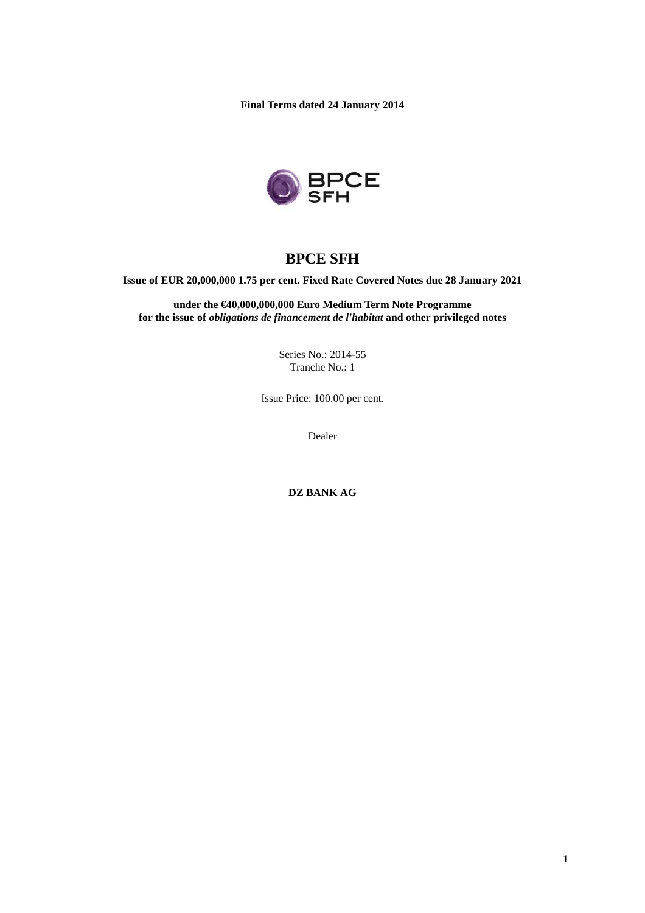**Final Terms dated 24 January 2014** 



# **BPCE SFH**

**Issue of EUR 20,000,000 1.75 per cent. Fixed Rate Covered Notes due 28 January 2021** 

**under the €40,000,000,000 Euro Medium Term Note Programme for the issue of** *obligations de financement de l'habitat* **and other privileged notes** 

> Series No.: 2014-55 Tranche No.: 1

Issue Price: 100.00 per cent.

Dealer

**DZ BANK AG**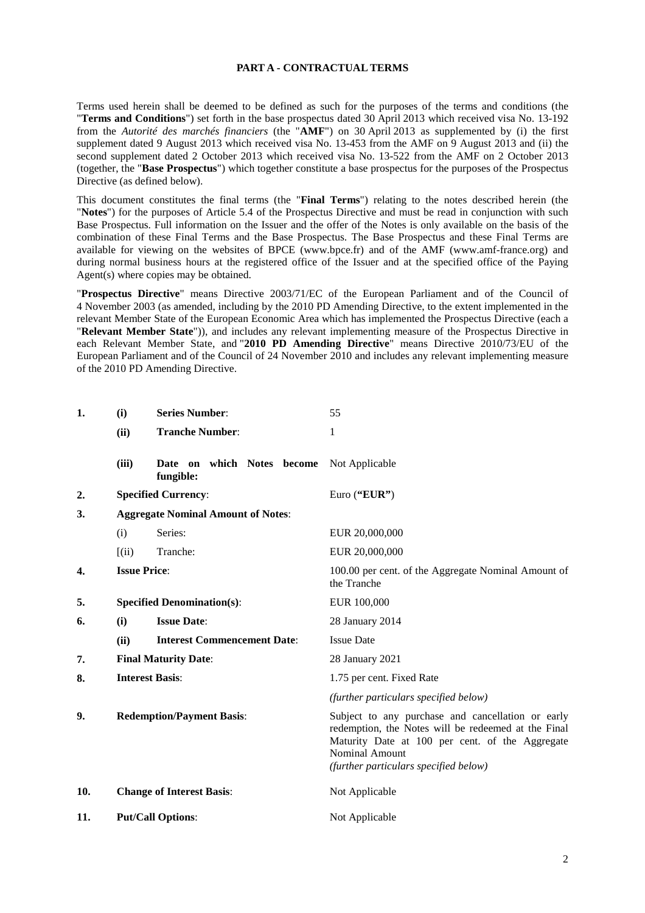#### **PART A - CONTRACTUAL TERMS**

Terms used herein shall be deemed to be defined as such for the purposes of the terms and conditions (the "**Terms and Conditions**") set forth in the base prospectus dated 30 April 2013 which received visa No. 13-192 from the *Autorité des marchés financiers* (the "**AMF**") on 30 April 2013 as supplemented by (i) the first supplement dated 9 August 2013 which received visa No. 13-453 from the AMF on 9 August 2013 and (ii) the second supplement dated 2 October 2013 which received visa No. 13-522 from the AMF on 2 October 2013 (together, the "**Base Prospectus**") which together constitute a base prospectus for the purposes of the Prospectus Directive (as defined below).

This document constitutes the final terms (the "**Final Terms**") relating to the notes described herein (the "**Notes**") for the purposes of Article 5.4 of the Prospectus Directive and must be read in conjunction with such Base Prospectus. Full information on the Issuer and the offer of the Notes is only available on the basis of the combination of these Final Terms and the Base Prospectus. The Base Prospectus and these Final Terms are available for viewing on the websites of BPCE (www.bpce.fr) and of the AMF (www.amf-france.org) and during normal business hours at the registered office of the Issuer and at the specified office of the Paying Agent(s) where copies may be obtained.

"**Prospectus Directive**" means Directive 2003/71/EC of the European Parliament and of the Council of 4 November 2003 (as amended, including by the 2010 PD Amending Directive, to the extent implemented in the relevant Member State of the European Economic Area which has implemented the Prospectus Directive (each a "**Relevant Member State**")), and includes any relevant implementing measure of the Prospectus Directive in each Relevant Member State, and "**2010 PD Amending Directive**" means Directive 2010/73/EU of the European Parliament and of the Council of 24 November 2010 and includes any relevant implementing measure of the 2010 PD Amending Directive.

| 1.               | (i)                                       | <b>Series Number:</b>                      | 55                                                                                                                                                                                                                     |  |
|------------------|-------------------------------------------|--------------------------------------------|------------------------------------------------------------------------------------------------------------------------------------------------------------------------------------------------------------------------|--|
|                  | (ii)                                      | <b>Tranche Number:</b>                     | 1                                                                                                                                                                                                                      |  |
|                  | (iii)                                     | which Notes become<br>Date on<br>fungible: | Not Applicable                                                                                                                                                                                                         |  |
| $\overline{2}$ . |                                           | <b>Specified Currency:</b>                 | Euro ("EUR")                                                                                                                                                                                                           |  |
| 3.               | <b>Aggregate Nominal Amount of Notes:</b> |                                            |                                                                                                                                                                                                                        |  |
|                  | (i)                                       | Series:                                    | EUR 20,000,000                                                                                                                                                                                                         |  |
|                  | (iii)                                     | Tranche:                                   | EUR 20,000,000                                                                                                                                                                                                         |  |
| 4.               | <b>Issue Price:</b>                       |                                            | 100.00 per cent. of the Aggregate Nominal Amount of<br>the Tranche                                                                                                                                                     |  |
| 5.               |                                           | <b>Specified Denomination(s):</b>          | EUR 100,000                                                                                                                                                                                                            |  |
| 6.               | <b>Issue Date:</b><br>(i)                 |                                            | 28 January 2014                                                                                                                                                                                                        |  |
|                  | (ii)                                      | <b>Interest Commencement Date:</b>         | <b>Issue Date</b>                                                                                                                                                                                                      |  |
| 7.               | <b>Final Maturity Date:</b>               |                                            | 28 January 2021                                                                                                                                                                                                        |  |
| 8.               | <b>Interest Basis:</b>                    |                                            | 1.75 per cent. Fixed Rate                                                                                                                                                                                              |  |
|                  |                                           |                                            | (further particulars specified below)                                                                                                                                                                                  |  |
| 9.               | <b>Redemption/Payment Basis:</b>          |                                            | Subject to any purchase and cancellation or early<br>redemption, the Notes will be redeemed at the Final<br>Maturity Date at 100 per cent. of the Aggregate<br>Nominal Amount<br>(further particulars specified below) |  |
| 10.              |                                           | <b>Change of Interest Basis:</b>           | Not Applicable                                                                                                                                                                                                         |  |
| 11.              |                                           | <b>Put/Call Options:</b>                   | Not Applicable                                                                                                                                                                                                         |  |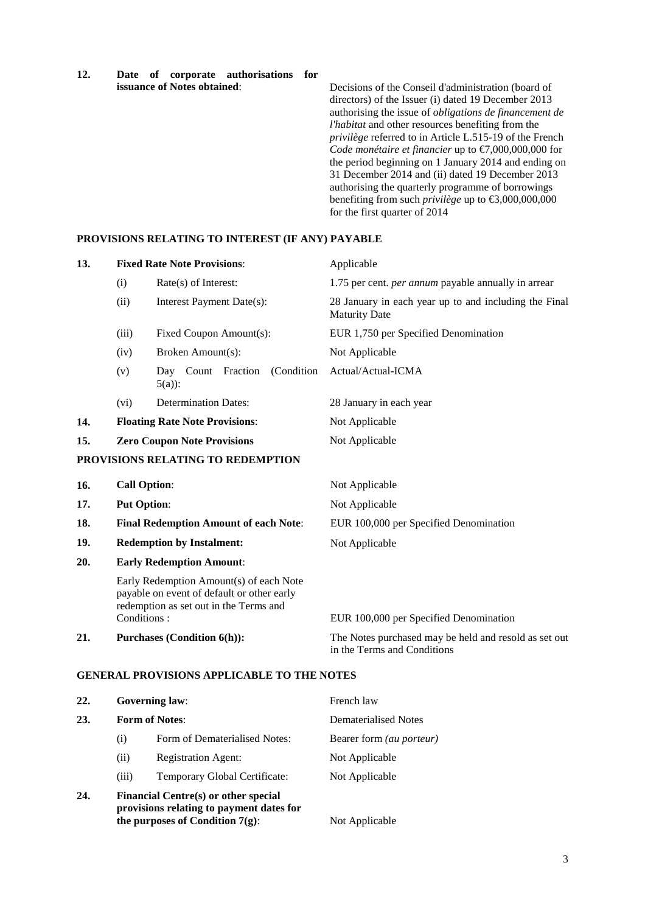**12. Date of corporate authorisations for** 

Decisions of the Conseil d'administration (board of directors) of the Issuer (i) dated 19 December 2013 authorising the issue of *obligations de financement de l'habitat* and other resources benefiting from the *privilège* referred to in Article L.515-19 of the French *Code monétaire et financier* up to €7,000,000,000 for the period beginning on 1 January 2014 and ending on 31 December 2014 and (ii) dated 19 December 2013 authorising the quarterly programme of borrowings benefiting from such *privilège* up to €3,000,000,000 for the first quarter of 2014

#### **PROVISIONS RELATING TO INTEREST (IF ANY) PAYABLE**

| 13. | <b>Fixed Rate Note Provisions:</b>                                    |                                                                                                                                 | Applicable                                                                                                            |  |
|-----|-----------------------------------------------------------------------|---------------------------------------------------------------------------------------------------------------------------------|-----------------------------------------------------------------------------------------------------------------------|--|
|     | (i)                                                                   | Rate(s) of Interest:                                                                                                            | 1.75 per cent. <i>per annum</i> payable annually in arrear                                                            |  |
|     | (ii)<br>Interest Payment Date(s):<br>Fixed Coupon Amount(s):<br>(iii) |                                                                                                                                 | 28 January in each year up to and including the Final<br><b>Maturity Date</b><br>EUR 1,750 per Specified Denomination |  |
|     |                                                                       |                                                                                                                                 |                                                                                                                       |  |
|     | (iv)                                                                  | Broken Amount(s):                                                                                                               | Not Applicable                                                                                                        |  |
|     | (v)                                                                   | Day Count Fraction<br>(Condition)<br>$5(a)$ :                                                                                   | Actual/Actual-ICMA                                                                                                    |  |
|     | (vi)                                                                  | <b>Determination Dates:</b>                                                                                                     | 28 January in each year                                                                                               |  |
| 14. | <b>Floating Rate Note Provisions:</b>                                 |                                                                                                                                 | Not Applicable                                                                                                        |  |
| 15. | <b>Zero Coupon Note Provisions</b>                                    |                                                                                                                                 | Not Applicable                                                                                                        |  |
|     |                                                                       | PROVISIONS RELATING TO REDEMPTION                                                                                               |                                                                                                                       |  |
| 16. | <b>Call Option:</b>                                                   |                                                                                                                                 | Not Applicable                                                                                                        |  |
| 17. | <b>Put Option:</b>                                                    |                                                                                                                                 | Not Applicable                                                                                                        |  |
| 18. | <b>Final Redemption Amount of each Note:</b>                          |                                                                                                                                 | EUR 100,000 per Specified Denomination                                                                                |  |
| 19. | <b>Redemption by Instalment:</b>                                      |                                                                                                                                 | Not Applicable                                                                                                        |  |
| 20. |                                                                       | <b>Early Redemption Amount:</b>                                                                                                 |                                                                                                                       |  |
|     |                                                                       | Early Redemption Amount(s) of each Note<br>payable on event of default or other early<br>redemption as set out in the Terms and |                                                                                                                       |  |
|     | Conditions:                                                           |                                                                                                                                 | EUR 100,000 per Specified Denomination                                                                                |  |
| 21. |                                                                       | <b>Purchases (Condition 6(h)):</b>                                                                                              | The Notes purchased may be held and resold as set out<br>in the Terms and Conditions                                  |  |

#### **GENERAL PROVISIONS APPLICABLE TO THE NOTES**

| 22. | <b>Governing law:</b><br><b>Form of Notes:</b>                                                                                |                               | French law                      |
|-----|-------------------------------------------------------------------------------------------------------------------------------|-------------------------------|---------------------------------|
| 23. |                                                                                                                               |                               | Dematerialised Notes            |
|     | $\rm(i)$                                                                                                                      | Form of Dematerialised Notes: | Bearer form <i>(au porteur)</i> |
|     | (i)                                                                                                                           | <b>Registration Agent:</b>    | Not Applicable                  |
|     | (iii)                                                                                                                         | Temporary Global Certificate: | Not Applicable                  |
| 24. | <b>Financial Centre(s) or other special</b><br>provisions relating to payment dates for<br>the purposes of Condition $7(g)$ : |                               | Not Applicable                  |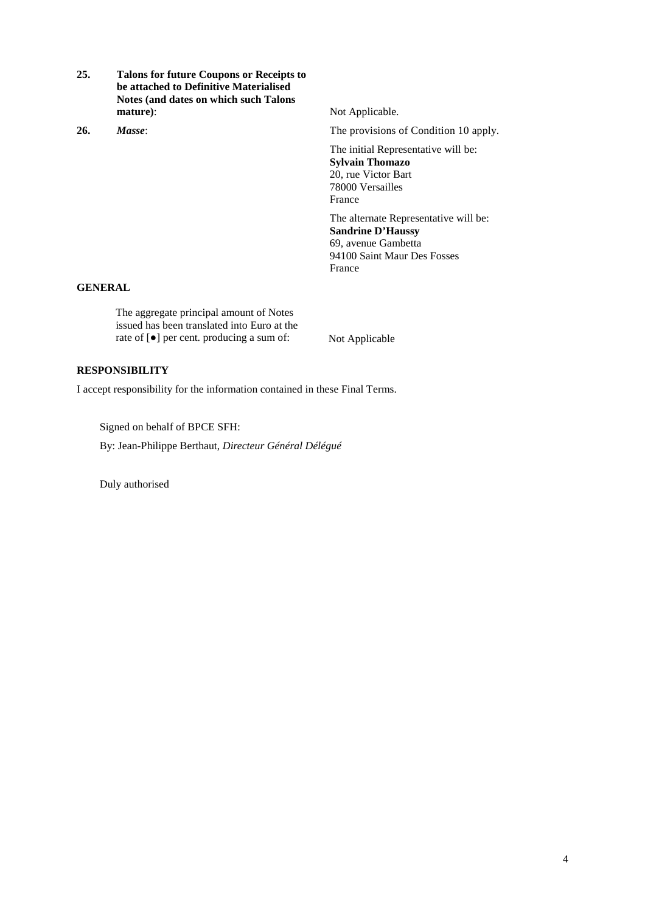- **25. Talons for future Coupons or Receipts to be attached to Definitive Materialised Notes (and dates on which such Talons mature**): Not Applicable.
- 

**26.** *Masse*: The provisions of Condition 10 apply.

The initial Representative will be: **Sylvain Thomazo**  20, rue Victor Bart 78000 Versailles France

The alternate Representative will be: **Sandrine D'Haussy**  69, avenue Gambetta 94100 Saint Maur Des Fosses France

#### **GENERAL**

The aggregate principal amount of Notes issued has been translated into Euro at the rate of [●] per cent. producing a sum of: Not Applicable

#### **RESPONSIBILITY**

I accept responsibility for the information contained in these Final Terms.

Signed on behalf of BPCE SFH:

By: Jean-Philippe Berthaut, *Directeur Général Délégué*

Duly authorised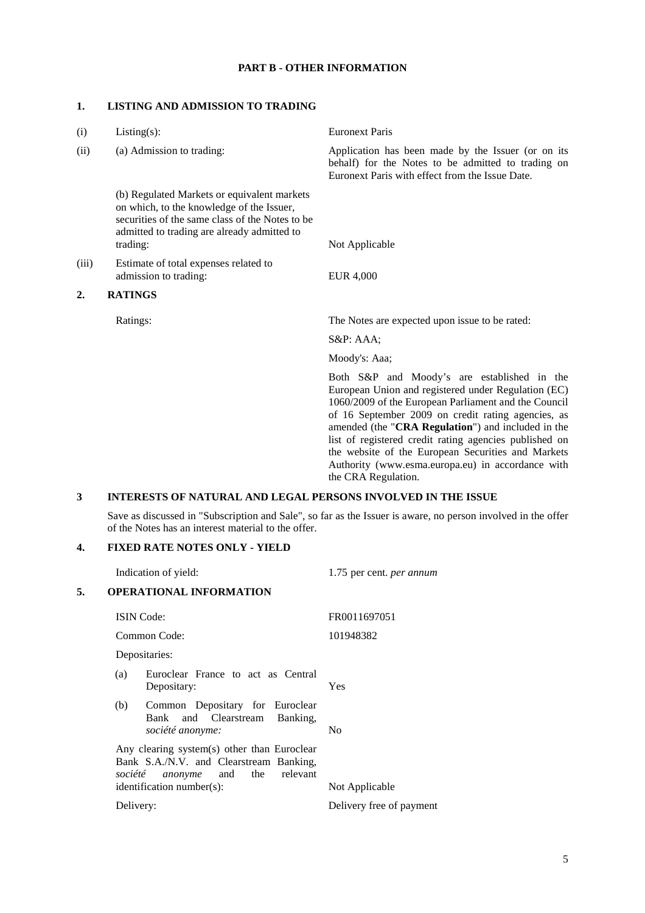## **PART B - OTHER INFORMATION**

### **1. LISTING AND ADMISSION TO TRADING**

| (i)   | $Listing(s)$ :                                                                                                                                                                                         | <b>Euronext Paris</b>                                                                                                                                                                                                                                                                                                                                                                                                                                              |  |  |
|-------|--------------------------------------------------------------------------------------------------------------------------------------------------------------------------------------------------------|--------------------------------------------------------------------------------------------------------------------------------------------------------------------------------------------------------------------------------------------------------------------------------------------------------------------------------------------------------------------------------------------------------------------------------------------------------------------|--|--|
| (ii)  | (a) Admission to trading:                                                                                                                                                                              | Application has been made by the Issuer (or on its<br>behalf) for the Notes to be admitted to trading on<br>Euronext Paris with effect from the Issue Date.                                                                                                                                                                                                                                                                                                        |  |  |
|       | (b) Regulated Markets or equivalent markets<br>on which, to the knowledge of the Issuer,<br>securities of the same class of the Notes to be<br>admitted to trading are already admitted to<br>trading: | Not Applicable                                                                                                                                                                                                                                                                                                                                                                                                                                                     |  |  |
| (iii) | Estimate of total expenses related to<br>admission to trading:                                                                                                                                         | <b>EUR 4,000</b>                                                                                                                                                                                                                                                                                                                                                                                                                                                   |  |  |
| 2.    | <b>RATINGS</b>                                                                                                                                                                                         |                                                                                                                                                                                                                                                                                                                                                                                                                                                                    |  |  |
|       | Ratings:                                                                                                                                                                                               | The Notes are expected upon issue to be rated:                                                                                                                                                                                                                                                                                                                                                                                                                     |  |  |
|       |                                                                                                                                                                                                        | $S\&P: AAA;$                                                                                                                                                                                                                                                                                                                                                                                                                                                       |  |  |
|       |                                                                                                                                                                                                        | Moody's: Aaa;                                                                                                                                                                                                                                                                                                                                                                                                                                                      |  |  |
|       |                                                                                                                                                                                                        | Both S&P and Moody's are established in the<br>European Union and registered under Regulation (EC)<br>1060/2009 of the European Parliament and the Council<br>of 16 September 2009 on credit rating agencies, as<br>amended (the "CRA Regulation") and included in the<br>list of registered credit rating agencies published on<br>the website of the European Securities and Markets<br>Authority (www.esma.europa.eu) in accordance with<br>the CRA Regulation. |  |  |
| 3     | <b>INTERESTS OF NATURAL AND LEGAL PERSONS INVOLVED IN THE ISSUE</b>                                                                                                                                    |                                                                                                                                                                                                                                                                                                                                                                                                                                                                    |  |  |
|       | of the Notes has an interest material to the offer.                                                                                                                                                    | Save as discussed in "Subscription and Sale", so far as the Issuer is aware, no person involved in the offer                                                                                                                                                                                                                                                                                                                                                       |  |  |
| 4.    | <b>FIXED RATE NOTES ONLY - YIELD</b>                                                                                                                                                                   |                                                                                                                                                                                                                                                                                                                                                                                                                                                                    |  |  |

|    | Indication of yield:                                                                                                                                                   | 1.75 per cent. <i>per annum</i> |
|----|------------------------------------------------------------------------------------------------------------------------------------------------------------------------|---------------------------------|
| 5. | <b>OPERATIONAL INFORMATION</b>                                                                                                                                         |                                 |
|    | <b>ISIN</b> Code:                                                                                                                                                      | FR0011697051                    |
|    | Common Code:                                                                                                                                                           | 101948382                       |
|    | Depositaries:                                                                                                                                                          |                                 |
|    | Euroclear France to act as Central<br>(a)<br>Depositary:                                                                                                               | <b>Yes</b>                      |
|    | Common Depositary for Euroclear<br>(b)<br>Bank and Clearstream<br>Banking,<br>société anonyme:                                                                         | N <sub>0</sub>                  |
|    | Any clearing system(s) other than Euroclear<br>Bank S.A./N.V. and Clearstream Banking,<br>relevant<br>and<br>the<br>société<br>anonyme<br>$identification number(s)$ : | Not Applicable                  |
|    | Delivery:                                                                                                                                                              | Delivery free of payment        |
|    |                                                                                                                                                                        |                                 |